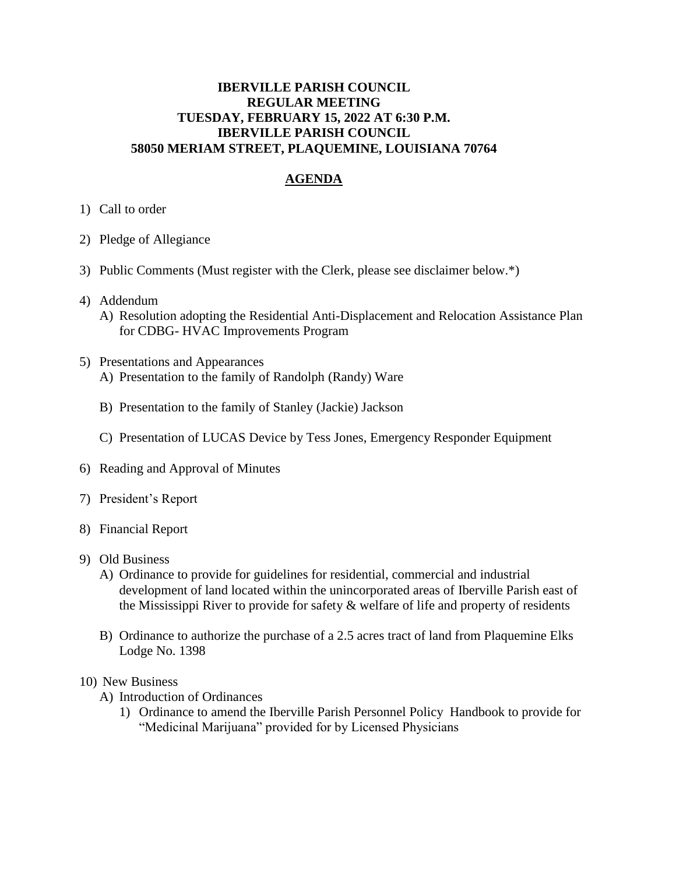## **IBERVILLE PARISH COUNCIL REGULAR MEETING TUESDAY, FEBRUARY 15, 2022 AT 6:30 P.M. IBERVILLE PARISH COUNCIL 58050 MERIAM STREET, PLAQUEMINE, LOUISIANA 70764**

## **AGENDA**

- 1) Call to order
- 2) Pledge of Allegiance
- 3) Public Comments (Must register with the Clerk, please see disclaimer below.\*)
- 4) Addendum
	- A) Resolution adopting the Residential Anti-Displacement and Relocation Assistance Plan for CDBG- HVAC Improvements Program
- 5) Presentations and Appearances A) Presentation to the family of Randolph (Randy) Ware
	- B) Presentation to the family of Stanley (Jackie) Jackson
	- C) Presentation of LUCAS Device by Tess Jones, Emergency Responder Equipment
- 6) Reading and Approval of Minutes
- 7) President's Report
- 8) Financial Report
- 9) Old Business
	- A) Ordinance to provide for guidelines for residential, commercial and industrial development of land located within the unincorporated areas of Iberville Parish east of the Mississippi River to provide for safety  $\&$  welfare of life and property of residents
	- B) Ordinance to authorize the purchase of a 2.5 acres tract of land from Plaquemine Elks Lodge No. 1398
- 10) New Business
	- A) Introduction of Ordinances
		- 1) Ordinance to amend the Iberville Parish Personnel Policy Handbook to provide for "Medicinal Marijuana" provided for by Licensed Physicians